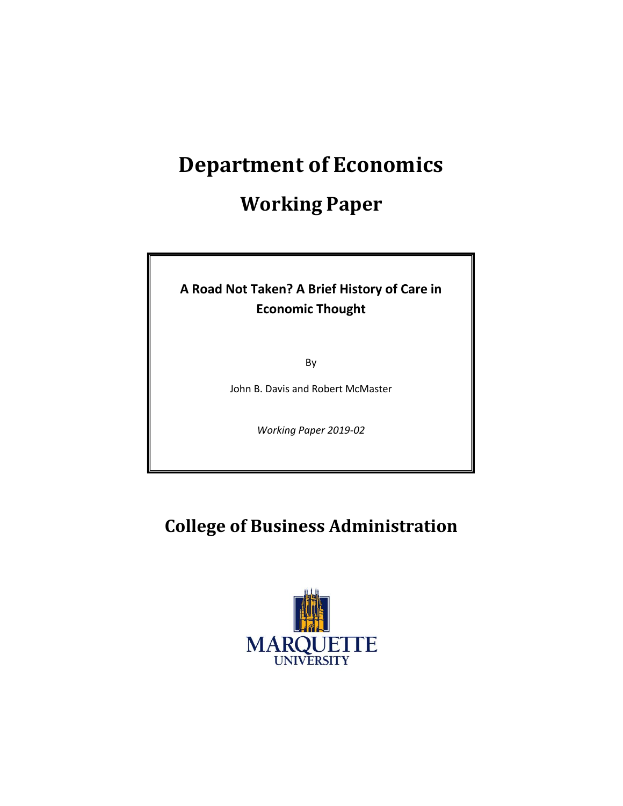# **Department of Economics**

## **Working Paper**

### **A Road Not Taken? A Brief History of Care in Economic Thought**

By

John B. Davis and Robert McMaster

*Working Paper 2019-02*

## **College of Business Administration**

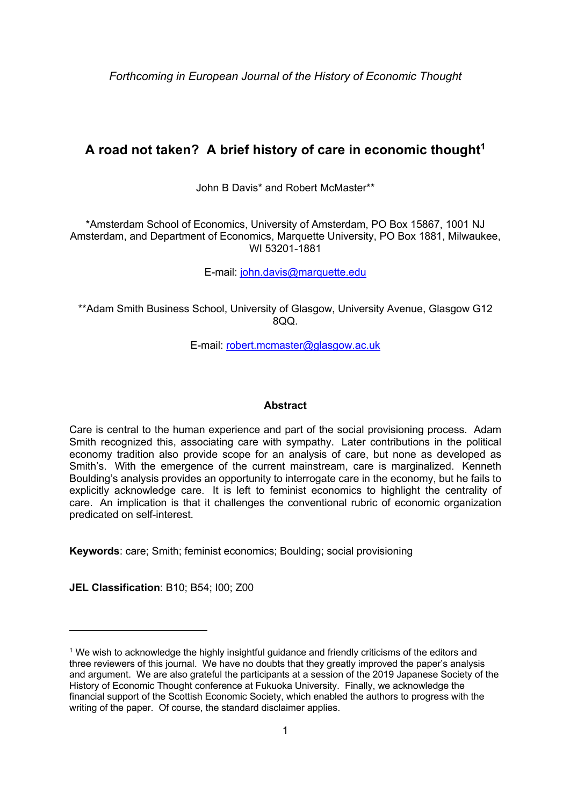*Forthcoming in European Journal of the History of Economic Thought*

### A road not taken? A brief history of care in economic thought<sup>1</sup>

John B Davis\* and Robert McMaster\*\*

\*Amsterdam School of Economics, University of Amsterdam, PO Box 15867, 1001 NJ Amsterdam, and Department of Economics, Marquette University, PO Box 1881, Milwaukee, WI 53201-1881

E-mail: john.davis@marquette.edu

\*\*Adam Smith Business School, University of Glasgow, University Avenue, Glasgow G12  $800$ .

E-mail: robert.mcmaster@glasgow.ac.uk

#### **Abstract**

Care is central to the human experience and part of the social provisioning process. Adam Smith recognized this, associating care with sympathy. Later contributions in the political economy tradition also provide scope for an analysis of care, but none as developed as Smith's. With the emergence of the current mainstream, care is marginalized. Kenneth Boulding's analysis provides an opportunity to interrogate care in the economy, but he fails to explicitly acknowledge care. It is left to feminist economics to highlight the centrality of care. An implication is that it challenges the conventional rubric of economic organization predicated on self-interest.

**Keywords**: care; Smith; feminist economics; Boulding; social provisioning

**JEL Classification**: B10; B54; I00; Z00

 $1$  We wish to acknowledge the highly insightful guidance and friendly criticisms of the editors and three reviewers of this journal. We have no doubts that they greatly improved the paper's analysis and argument. We are also grateful the participants at a session of the 2019 Japanese Society of the History of Economic Thought conference at Fukuoka University. Finally, we acknowledge the financial support of the Scottish Economic Society, which enabled the authors to progress with the writing of the paper. Of course, the standard disclaimer applies.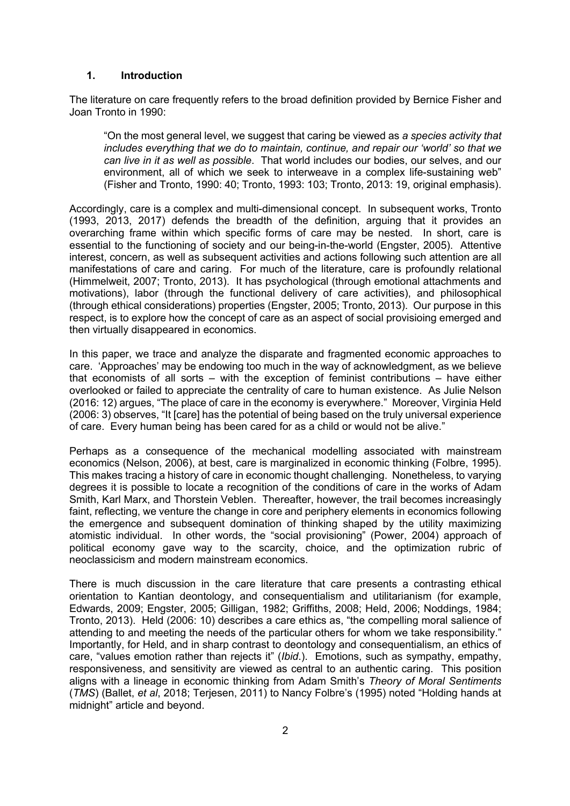#### **1. Introduction**

The literature on care frequently refers to the broad definition provided by Bernice Fisher and Joan Tronto in 1990:

"On the most general level, we suggest that caring be viewed as *a species activity that includes everything that we do to maintain, continue, and repair our 'world' so that we can live in it as well as possible*. That world includes our bodies, our selves, and our environment, all of which we seek to interweave in a complex life-sustaining web" (Fisher and Tronto, 1990: 40; Tronto, 1993: 103; Tronto, 2013: 19, original emphasis).

Accordingly, care is a complex and multi-dimensional concept. In subsequent works, Tronto (1993, 2013, 2017) defends the breadth of the definition, arguing that it provides an overarching frame within which specific forms of care may be nested. In short, care is essential to the functioning of society and our being-in-the-world (Engster, 2005). Attentive interest, concern, as well as subsequent activities and actions following such attention are all manifestations of care and caring. For much of the literature, care is profoundly relational (Himmelweit, 2007; Tronto, 2013). It has psychological (through emotional attachments and motivations), labor (through the functional delivery of care activities), and philosophical (through ethical considerations) properties (Engster, 2005; Tronto, 2013). Our purpose in this respect, is to explore how the concept of care as an aspect of social provisioing emerged and then virtually disappeared in economics.

In this paper, we trace and analyze the disparate and fragmented economic approaches to care. 'Approaches' may be endowing too much in the way of acknowledgment, as we believe that economists of all sorts – with the exception of feminist contributions – have either overlooked or failed to appreciate the centrality of care to human existence. As Julie Nelson (2016: 12) argues, "The place of care in the economy is everywhere." Moreover, Virginia Held (2006: 3) observes, "It [care] has the potential of being based on the truly universal experience of care. Every human being has been cared for as a child or would not be alive."

Perhaps as a consequence of the mechanical modelling associated with mainstream economics (Nelson, 2006), at best, care is marginalized in economic thinking (Folbre, 1995). This makes tracing a history of care in economic thought challenging. Nonetheless, to varying degrees it is possible to locate a recognition of the conditions of care in the works of Adam Smith, Karl Marx, and Thorstein Veblen. Thereafter, however, the trail becomes increasingly faint, reflecting, we venture the change in core and periphery elements in economics following the emergence and subsequent domination of thinking shaped by the utility maximizing atomistic individual. In other words, the "social provisioning" (Power, 2004) approach of political economy gave way to the scarcity, choice, and the optimization rubric of neoclassicism and modern mainstream economics.

There is much discussion in the care literature that care presents a contrasting ethical orientation to Kantian deontology, and consequentialism and utilitarianism (for example, Edwards, 2009; Engster, 2005; Gilligan, 1982; Griffiths, 2008; Held, 2006; Noddings, 1984; Tronto, 2013). Held (2006: 10) describes a care ethics as, "the compelling moral salience of attending to and meeting the needs of the particular others for whom we take responsibility." Importantly, for Held, and in sharp contrast to deontology and consequentialism, an ethics of care, "values emotion rather than rejects it" (*Ibid*.). Emotions, such as sympathy, empathy, responsiveness, and sensitivity are viewed as central to an authentic caring. This position aligns with a lineage in economic thinking from Adam Smith's *Theory of Moral Sentiments* (*TMS*) (Ballet, *et al*, 2018; Terjesen, 2011) to Nancy Folbre's (1995) noted "Holding hands at midnight" article and beyond.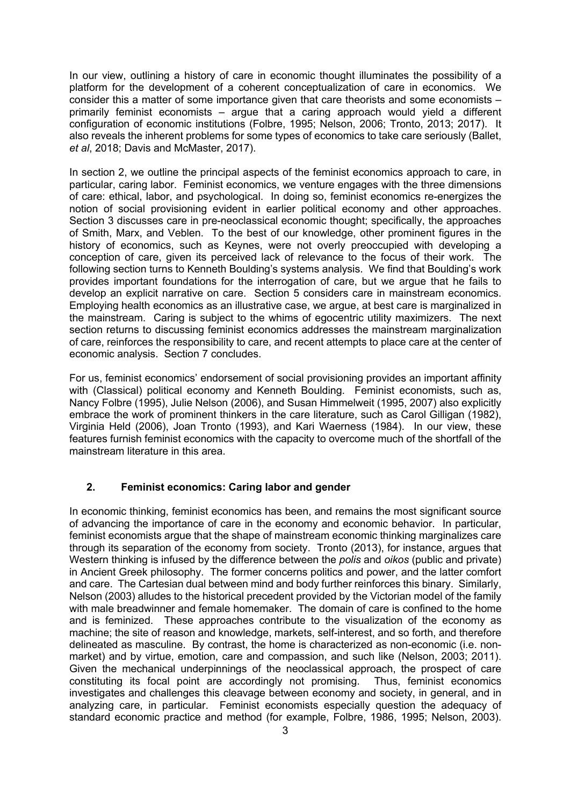In our view, outlining a history of care in economic thought illuminates the possibility of a platform for the development of a coherent conceptualization of care in economics. We consider this a matter of some importance given that care theorists and some economists – primarily feminist economists – argue that a caring approach would yield a different configuration of economic institutions (Folbre, 1995; Nelson, 2006; Tronto, 2013; 2017). It also reveals the inherent problems for some types of economics to take care seriously (Ballet, *et al*, 2018; Davis and McMaster, 2017).

In section 2, we outline the principal aspects of the feminist economics approach to care, in particular, caring labor. Feminist economics, we venture engages with the three dimensions of care: ethical, labor, and psychological. In doing so, feminist economics re-energizes the notion of social provisioning evident in earlier political economy and other approaches. Section 3 discusses care in pre-neoclassical economic thought; specifically, the approaches of Smith, Marx, and Veblen. To the best of our knowledge, other prominent figures in the history of economics, such as Keynes, were not overly preoccupied with developing a conception of care, given its perceived lack of relevance to the focus of their work. The following section turns to Kenneth Boulding's systems analysis. We find that Boulding's work provides important foundations for the interrogation of care, but we argue that he fails to develop an explicit narrative on care. Section 5 considers care in mainstream economics. Employing health economics as an illustrative case, we argue, at best care is marginalized in the mainstream. Caring is subject to the whims of egocentric utility maximizers. The next section returns to discussing feminist economics addresses the mainstream marginalization of care, reinforces the responsibility to care, and recent attempts to place care at the center of economic analysis. Section 7 concludes.

For us, feminist economics' endorsement of social provisioning provides an important affinity with (Classical) political economy and Kenneth Boulding. Feminist economists, such as, Nancy Folbre (1995), Julie Nelson (2006), and Susan Himmelweit (1995, 2007) also explicitly embrace the work of prominent thinkers in the care literature, such as Carol Gilligan (1982), Virginia Held (2006), Joan Tronto (1993), and Kari Waerness (1984). In our view, these features furnish feminist economics with the capacity to overcome much of the shortfall of the mainstream literature in this area.

#### **2. Feminist economics: Caring labor and gender**

In economic thinking, feminist economics has been, and remains the most significant source of advancing the importance of care in the economy and economic behavior. In particular, feminist economists argue that the shape of mainstream economic thinking marginalizes care through its separation of the economy from society. Tronto (2013), for instance, argues that Western thinking is infused by the difference between the *polis* and *oikos* (public and private) in Ancient Greek philosophy. The former concerns politics and power, and the latter comfort and care. The Cartesian dual between mind and body further reinforces this binary. Similarly, Nelson (2003) alludes to the historical precedent provided by the Victorian model of the family with male breadwinner and female homemaker. The domain of care is confined to the home and is feminized. These approaches contribute to the visualization of the economy as machine; the site of reason and knowledge, markets, self-interest, and so forth, and therefore delineated as masculine. By contrast, the home is characterized as non-economic (i.e. nonmarket) and by virtue, emotion, care and compassion, and such like (Nelson, 2003; 2011). Given the mechanical underpinnings of the neoclassical approach, the prospect of care constituting its focal point are accordingly not promising. Thus, feminist economics investigates and challenges this cleavage between economy and society, in general, and in analyzing care, in particular. Feminist economists especially question the adequacy of standard economic practice and method (for example, Folbre, 1986, 1995; Nelson, 2003).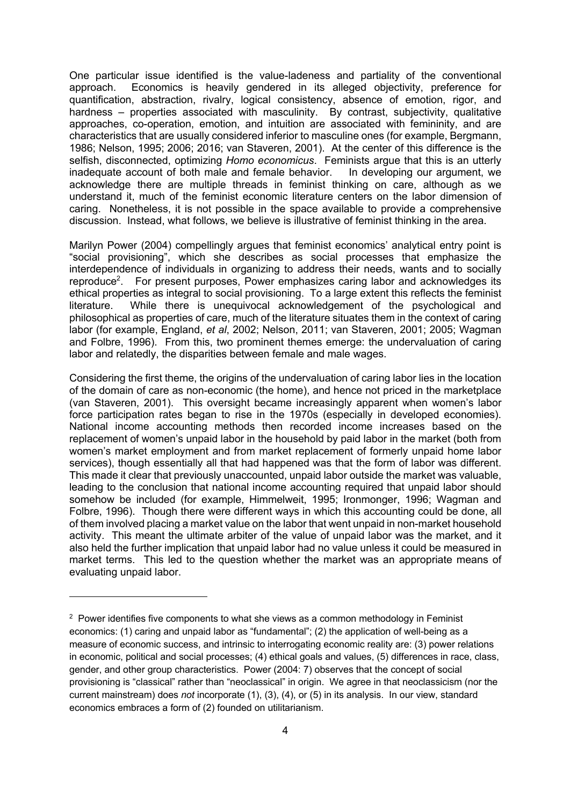One particular issue identified is the value-ladeness and partiality of the conventional approach. Economics is heavily gendered in its alleged objectivity, preference for quantification, abstraction, rivalry, logical consistency, absence of emotion, rigor, and hardness – properties associated with masculinity. By contrast, subjectivity, qualitative approaches, co-operation, emotion, and intuition are associated with femininity, and are characteristics that are usually considered inferior to masculine ones (for example, Bergmann, 1986; Nelson, 1995; 2006; 2016; van Staveren, 2001). At the center of this difference is the selfish, disconnected, optimizing *Homo economicus*. Feminists argue that this is an utterly inadequate account of both male and female behavior. In developing our argument, we acknowledge there are multiple threads in feminist thinking on care, although as we understand it, much of the feminist economic literature centers on the labor dimension of caring. Nonetheless, it is not possible in the space available to provide a comprehensive discussion. Instead, what follows, we believe is illustrative of feminist thinking in the area.

Marilyn Power (2004) compellingly argues that feminist economics' analytical entry point is "social provisioning", which she describes as social processes that emphasize the interdependence of individuals in organizing to address their needs, wants and to socially reproduce<sup>2</sup>. For present purposes, Power emphasizes caring labor and acknowledges its ethical properties as integral to social provisioning. To a large extent this reflects the feminist literature. While there is unequivocal acknowledgement of the psychological and philosophical as properties of care, much of the literature situates them in the context of caring labor (for example, England, *et al*, 2002; Nelson, 2011; van Staveren, 2001; 2005; Wagman and Folbre, 1996). From this, two prominent themes emerge: the undervaluation of caring labor and relatedly, the disparities between female and male wages.

Considering the first theme, the origins of the undervaluation of caring labor lies in the location of the domain of care as non-economic (the home), and hence not priced in the marketplace (van Staveren, 2001). This oversight became increasingly apparent when women's labor force participation rates began to rise in the 1970s (especially in developed economies). National income accounting methods then recorded income increases based on the replacement of women's unpaid labor in the household by paid labor in the market (both from women's market employment and from market replacement of formerly unpaid home labor services), though essentially all that had happened was that the form of labor was different. This made it clear that previously unaccounted, unpaid labor outside the market was valuable, leading to the conclusion that national income accounting required that unpaid labor should somehow be included (for example, Himmelweit, 1995; Ironmonger, 1996; Wagman and Folbre, 1996). Though there were different ways in which this accounting could be done, all of them involved placing a market value on the labor that went unpaid in non-market household activity. This meant the ultimate arbiter of the value of unpaid labor was the market, and it also held the further implication that unpaid labor had no value unless it could be measured in market terms. This led to the question whether the market was an appropriate means of evaluating unpaid labor.

 $2$  Power identifies five components to what she views as a common methodology in Feminist economics: (1) caring and unpaid labor as "fundamental"; (2) the application of well-being as a measure of economic success, and intrinsic to interrogating economic reality are: (3) power relations in economic, political and social processes; (4) ethical goals and values, (5) differences in race, class, gender, and other group characteristics. Power (2004: 7) observes that the concept of social provisioning is "classical" rather than "neoclassical" in origin. We agree in that neoclassicism (nor the current mainstream) does *not* incorporate (1), (3), (4), or (5) in its analysis. In our view, standard economics embraces a form of (2) founded on utilitarianism.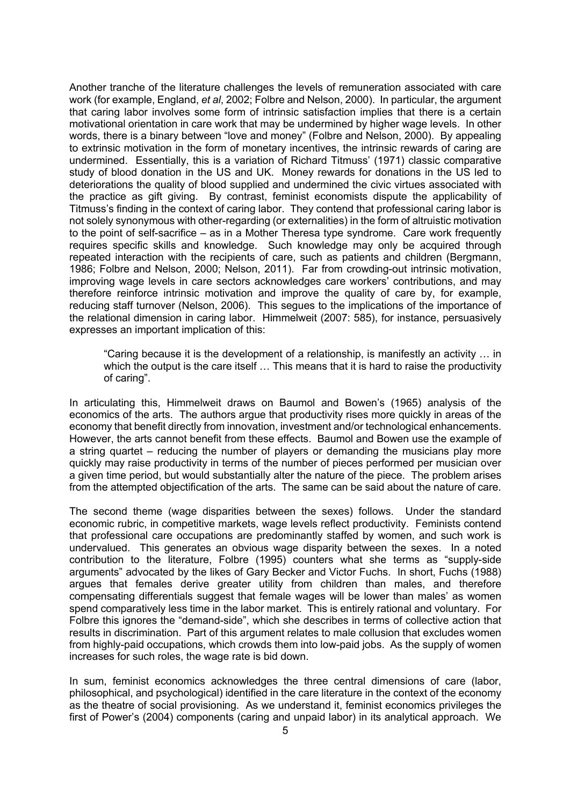Another tranche of the literature challenges the levels of remuneration associated with care work (for example, England, *et al*, 2002; Folbre and Nelson, 2000). In particular, the argument that caring labor involves some form of intrinsic satisfaction implies that there is a certain motivational orientation in care work that may be undermined by higher wage levels. In other words, there is a binary between "love and money" (Folbre and Nelson, 2000). By appealing to extrinsic motivation in the form of monetary incentives, the intrinsic rewards of caring are undermined. Essentially, this is a variation of Richard Titmuss' (1971) classic comparative study of blood donation in the US and UK. Money rewards for donations in the US led to deteriorations the quality of blood supplied and undermined the civic virtues associated with the practice as gift giving. By contrast, feminist economists dispute the applicability of Titmuss's finding in the context of caring labor. They contend that professional caring labor is not solely synonymous with other-regarding (or externalities) in the form of altruistic motivation to the point of self-sacrifice – as in a Mother Theresa type syndrome. Care work frequently requires specific skills and knowledge. Such knowledge may only be acquired through repeated interaction with the recipients of care, such as patients and children (Bergmann, 1986; Folbre and Nelson, 2000; Nelson, 2011). Far from crowding-out intrinsic motivation, improving wage levels in care sectors acknowledges care workers' contributions, and may therefore reinforce intrinsic motivation and improve the quality of care by, for example, reducing staff turnover (Nelson, 2006). This segues to the implications of the importance of the relational dimension in caring labor. Himmelweit (2007: 585), for instance, persuasively expresses an important implication of this:

"Caring because it is the development of a relationship, is manifestly an activity … in which the output is the care itself ... This means that it is hard to raise the productivity of caring".

In articulating this, Himmelweit draws on Baumol and Bowen's (1965) analysis of the economics of the arts. The authors argue that productivity rises more quickly in areas of the economy that benefit directly from innovation, investment and/or technological enhancements. However, the arts cannot benefit from these effects. Baumol and Bowen use the example of a string quartet – reducing the number of players or demanding the musicians play more quickly may raise productivity in terms of the number of pieces performed per musician over a given time period, but would substantially alter the nature of the piece. The problem arises from the attempted objectification of the arts. The same can be said about the nature of care.

The second theme (wage disparities between the sexes) follows. Under the standard economic rubric, in competitive markets, wage levels reflect productivity. Feminists contend that professional care occupations are predominantly staffed by women, and such work is undervalued. This generates an obvious wage disparity between the sexes. In a noted contribution to the literature, Folbre (1995) counters what she terms as "supply-side arguments" advocated by the likes of Gary Becker and Victor Fuchs. In short, Fuchs (1988) argues that females derive greater utility from children than males, and therefore compensating differentials suggest that female wages will be lower than males' as women spend comparatively less time in the labor market. This is entirely rational and voluntary. For Folbre this ignores the "demand-side", which she describes in terms of collective action that results in discrimination. Part of this argument relates to male collusion that excludes women from highly-paid occupations, which crowds them into low-paid jobs. As the supply of women increases for such roles, the wage rate is bid down.

In sum, feminist economics acknowledges the three central dimensions of care (labor, philosophical, and psychological) identified in the care literature in the context of the economy as the theatre of social provisioning. As we understand it, feminist economics privileges the first of Power's (2004) components (caring and unpaid labor) in its analytical approach. We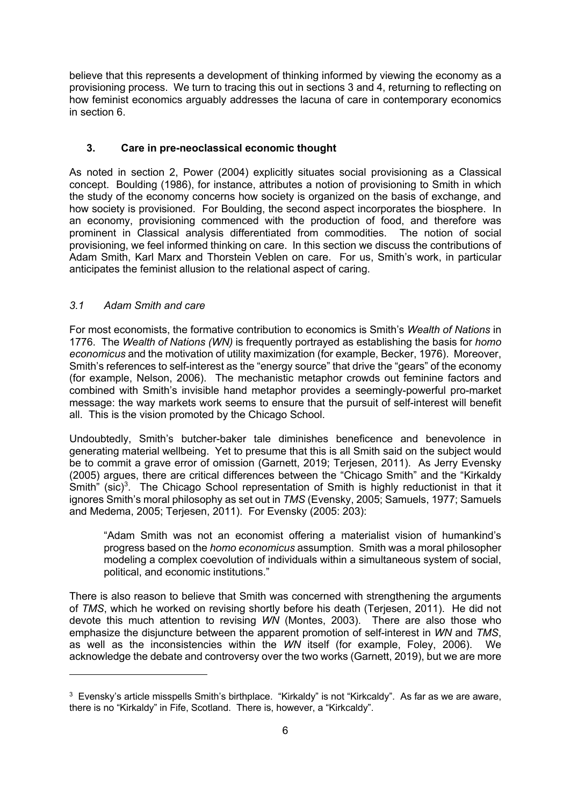believe that this represents a development of thinking informed by viewing the economy as a provisioning process. We turn to tracing this out in sections 3 and 4, returning to reflecting on how feminist economics arguably addresses the lacuna of care in contemporary economics in section 6.

#### **3. Care in pre-neoclassical economic thought**

As noted in section 2, Power (2004) explicitly situates social provisioning as a Classical concept. Boulding (1986), for instance, attributes a notion of provisioning to Smith in which the study of the economy concerns how society is organized on the basis of exchange, and how society is provisioned. For Boulding, the second aspect incorporates the biosphere. In an economy, provisioning commenced with the production of food, and therefore was prominent in Classical analysis differentiated from commodities. The notion of social provisioning, we feel informed thinking on care. In this section we discuss the contributions of Adam Smith, Karl Marx and Thorstein Veblen on care. For us, Smith's work, in particular anticipates the feminist allusion to the relational aspect of caring.

#### *3.1 Adam Smith and care*

For most economists, the formative contribution to economics is Smith's *Wealth of Nations* in 1776. The *Wealth of Nations (WN)* is frequently portrayed as establishing the basis for *homo economicus* and the motivation of utility maximization (for example, Becker, 1976). Moreover, Smith's references to self-interest as the "energy source" that drive the "gears" of the economy (for example, Nelson, 2006). The mechanistic metaphor crowds out feminine factors and combined with Smith's invisible hand metaphor provides a seemingly-powerful pro-market message: the way markets work seems to ensure that the pursuit of self-interest will benefit all. This is the vision promoted by the Chicago School.

Undoubtedly, Smith's butcher-baker tale diminishes beneficence and benevolence in generating material wellbeing. Yet to presume that this is all Smith said on the subject would be to commit a grave error of omission (Garnett, 2019; Terjesen, 2011). As Jerry Evensky (2005) argues, there are critical differences between the "Chicago Smith" and the "Kirkaldy Smith" (sic)<sup>3</sup>. The Chicago School representation of Smith is highly reductionist in that it ignores Smith's moral philosophy as set out in *TMS* (Evensky, 2005; Samuels, 1977; Samuels and Medema, 2005; Terjesen, 2011). For Evensky (2005: 203):

"Adam Smith was not an economist offering a materialist vision of humankind's progress based on the *homo economicus* assumption. Smith was a moral philosopher modeling a complex coevolution of individuals within a simultaneous system of social, political, and economic institutions."

There is also reason to believe that Smith was concerned with strengthening the arguments of *TMS*, which he worked on revising shortly before his death (Terjesen, 2011). He did not devote this much attention to revising *WN* (Montes, 2003). There are also those who emphasize the disjuncture between the apparent promotion of self-interest in *WN* and *TMS*, as well as the inconsistencies within the *WN* itself (for example, Foley, 2006). We acknowledge the debate and controversy over the two works (Garnett, 2019), but we are more

<sup>&</sup>lt;sup>3</sup> Evensky's article misspells Smith's birthplace. "Kirkaldy" is not "Kirkcaldy". As far as we are aware, there is no "Kirkaldy" in Fife, Scotland. There is, however, a "Kirkcaldy".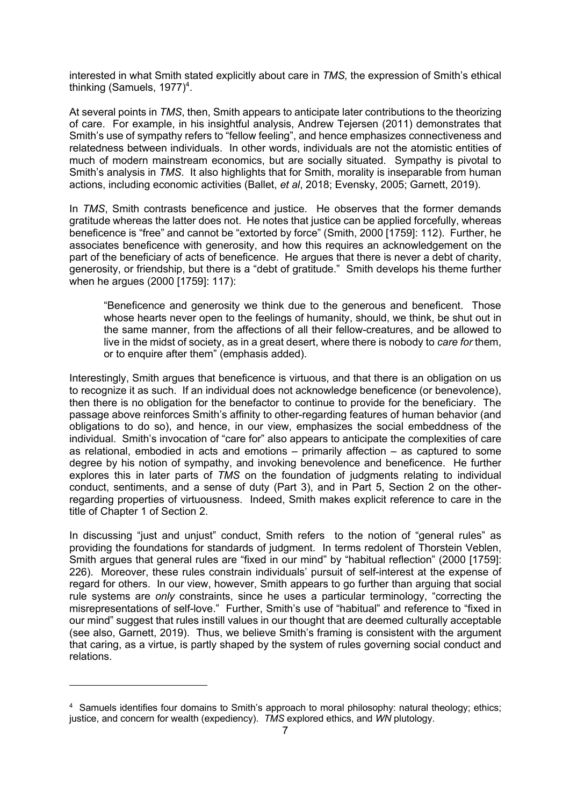interested in what Smith stated explicitly about care in *TMS,* the expression of Smith's ethical thinking (Samuels, 1977)<sup>4</sup>.

At several points in *TMS*, then, Smith appears to anticipate later contributions to the theorizing of care. For example, in his insightful analysis, Andrew Tejersen (2011) demonstrates that Smith's use of sympathy refers to "fellow feeling", and hence emphasizes connectiveness and relatedness between individuals. In other words, individuals are not the atomistic entities of much of modern mainstream economics, but are socially situated. Sympathy is pivotal to Smith's analysis in *TMS*. It also highlights that for Smith, morality is inseparable from human actions, including economic activities (Ballet, *et al*, 2018; Evensky, 2005; Garnett, 2019).

In *TMS*, Smith contrasts beneficence and justice. He observes that the former demands gratitude whereas the latter does not. He notes that justice can be applied forcefully, whereas beneficence is "free" and cannot be "extorted by force" (Smith, 2000 [1759]: 112). Further, he associates beneficence with generosity, and how this requires an acknowledgement on the part of the beneficiary of acts of beneficence. He argues that there is never a debt of charity, generosity, or friendship, but there is a "debt of gratitude." Smith develops his theme further when he argues (2000 [1759]: 117):

"Beneficence and generosity we think due to the generous and beneficent. Those whose hearts never open to the feelings of humanity, should, we think, be shut out in the same manner, from the affections of all their fellow-creatures, and be allowed to live in the midst of society, as in a great desert, where there is nobody to *care for* them, or to enquire after them" (emphasis added).

Interestingly, Smith argues that beneficence is virtuous, and that there is an obligation on us to recognize it as such. If an individual does not acknowledge beneficence (or benevolence), then there is no obligation for the benefactor to continue to provide for the beneficiary. The passage above reinforces Smith's affinity to other-regarding features of human behavior (and obligations to do so), and hence, in our view, emphasizes the social embeddness of the individual. Smith's invocation of "care for" also appears to anticipate the complexities of care as relational, embodied in acts and emotions – primarily affection – as captured to some degree by his notion of sympathy, and invoking benevolence and beneficence. He further explores this in later parts of *TMS* on the foundation of judgments relating to individual conduct, sentiments, and a sense of duty (Part 3), and in Part 5, Section 2 on the otherregarding properties of virtuousness. Indeed, Smith makes explicit reference to care in the title of Chapter 1 of Section 2.

In discussing "just and unjust" conduct, Smith refers to the notion of "general rules" as providing the foundations for standards of judgment. In terms redolent of Thorstein Veblen, Smith argues that general rules are "fixed in our mind" by "habitual reflection" (2000 [1759]: 226). Moreover, these rules constrain individuals' pursuit of self-interest at the expense of regard for others. In our view, however, Smith appears to go further than arguing that social rule systems are *only* constraints, since he uses a particular terminology, "correcting the misrepresentations of self-love." Further, Smith's use of "habitual" and reference to "fixed in our mind" suggest that rules instill values in our thought that are deemed culturally acceptable (see also, Garnett, 2019). Thus, we believe Smith's framing is consistent with the argument that caring, as a virtue, is partly shaped by the system of rules governing social conduct and relations.

<sup>4</sup> Samuels identifies four domains to Smith's approach to moral philosophy: natural theology; ethics; justice, and concern for wealth (expediency). *TMS* explored ethics, and *WN* plutology.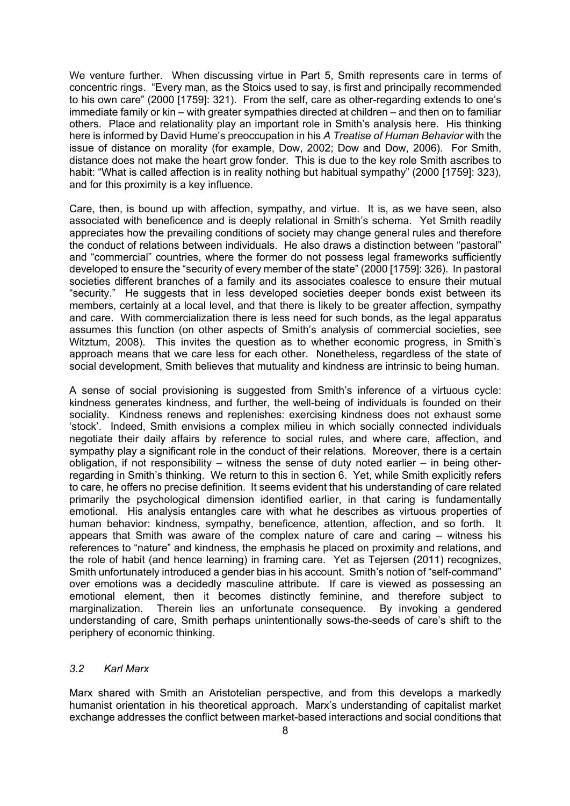We venture further. When discussing virtue in Part 5, Smith represents care in terms of concentric rings. "Every man, as the Stoics used to say, is first and principally recommended to his own care" (2000 [1759]: 321). From the self, care as other-regarding extends to one's immediate family or kin – with greater sympathies directed at children – and then on to familiar others. Place and relationality play an important role in Smith's analysis here. His thinking here is informed by David Hume's preoccupation in his *A Treatise of Human Behavior* with the issue of distance on morality (for example, Dow, 2002; Dow and Dow, 2006). For Smith, distance does not make the heart grow fonder. This is due to the key role Smith ascribes to habit: "What is called affection is in reality nothing but habitual sympathy" (2000 [1759]: 323), and for this proximity is a key influence.

Care, then, is bound up with affection, sympathy, and virtue. It is, as we have seen, also associated with beneficence and is deeply relational in Smith's schema. Yet Smith readily appreciates how the prevailing conditions of society may change general rules and therefore the conduct of relations between individuals. He also draws a distinction between "pastoral" and "commercial" countries, where the former do not possess legal frameworks sufficiently developed to ensure the "security of every member of the state" (2000 [1759]: 326). In pastoral societies different branches of a family and its associates coalesce to ensure their mutual "security." He suggests that in less developed societies deeper bonds exist between its members, certainly at a local level, and that there is likely to be greater affection, sympathy and care. With commercialization there is less need for such bonds, as the legal apparatus assumes this function (on other aspects of Smith's analysis of commercial societies, see Witztum, 2008). This invites the question as to whether economic progress, in Smith's approach means that we care less for each other. Nonetheless, regardless of the state of social development, Smith believes that mutuality and kindness are intrinsic to being human.

A sense of social provisioning is suggested from Smith's inference of a virtuous cycle: kindness generates kindness, and further, the well-being of individuals is founded on their sociality. Kindness renews and replenishes: exercising kindness does not exhaust some 'stock'. Indeed, Smith envisions a complex milieu in which socially connected individuals negotiate their daily affairs by reference to social rules, and where care, affection, and sympathy play a significant role in the conduct of their relations. Moreover, there is a certain obligation, if not responsibility – witness the sense of duty noted earlier – in being otherregarding in Smith's thinking. We return to this in section 6. Yet, while Smith explicitly refers to care, he offers no precise definition. It seems evident that his understanding of care related primarily the psychological dimension identified earlier, in that caring is fundamentally emotional. His analysis entangles care with what he describes as virtuous properties of human behavior: kindness, sympathy, beneficence, attention, affection, and so forth. It appears that Smith was aware of the complex nature of care and caring – witness his references to "nature" and kindness, the emphasis he placed on proximity and relations, and the role of habit (and hence learning) in framing care. Yet as Tejersen (2011) recognizes, Smith unfortunately introduced a gender bias in his account. Smith's notion of "self-command" over emotions was a decidedly masculine attribute. If care is viewed as possessing an emotional element, then it becomes distinctly feminine, and therefore subject to marginalization. Therein lies an unfortunate consequence. By invoking a gendered understanding of care, Smith perhaps unintentionally sows-the-seeds of care's shift to the periphery of economic thinking.

#### *3.2 Karl Marx*

Marx shared with Smith an Aristotelian perspective, and from this develops a markedly humanist orientation in his theoretical approach. Marx's understanding of capitalist market exchange addresses the conflict between market-based interactions and social conditions that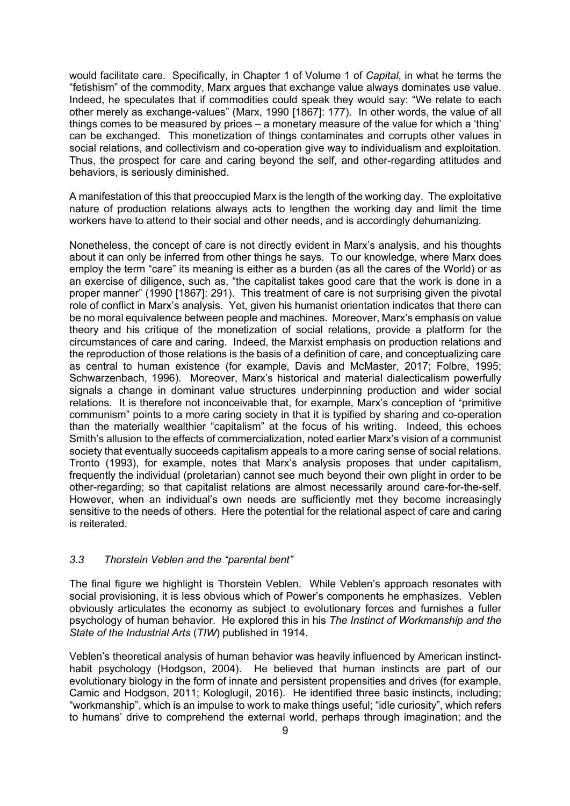would facilitate care. Specifically, in Chapter 1 of Volume 1 of *Capital*, in what he terms the "fetishism" of the commodity, Marx argues that exchange value always dominates use value. Indeed, he speculates that if commodities could speak they would say: "We relate to each other merely as exchange-values" (Marx, 1990 [1867]: 177). In other words, the value of all things comes to be measured by prices – a monetary measure of the value for which a 'thing' can be exchanged. This monetization of things contaminates and corrupts other values in social relations, and collectivism and co-operation give way to individualism and exploitation. Thus, the prospect for care and caring beyond the self, and other-regarding attitudes and behaviors, is seriously diminished.

A manifestation of this that preoccupied Marx is the length of the working day. The exploitative nature of production relations always acts to lengthen the working day and limit the time workers have to attend to their social and other needs, and is accordingly dehumanizing.

Nonetheless, the concept of care is not directly evident in Marx's analysis, and his thoughts about it can only be inferred from other things he says. To our knowledge, where Marx does employ the term "care" its meaning is either as a burden (as all the cares of the World) or as an exercise of diligence, such as, "the capitalist takes good care that the work is done in a proper manner" (1990 [1867]: 291). This treatment of care is not surprising given the pivotal role of conflict in Marx's analysis. Yet, given his humanist orientation indicates that there can be no moral equivalence between people and machines. Moreover, Marx's emphasis on value theory and his critique of the monetization of social relations, provide a platform for the circumstances of care and caring. Indeed, the Marxist emphasis on production relations and the reproduction of those relations is the basis of a definition of care, and conceptualizing care as central to human existence (for example, Davis and McMaster, 2017; Folbre, 1995; Schwarzenbach, 1996). Moreover, Marx's historical and material dialecticalism powerfully signals a change in dominant value structures underpinning production and wider social relations. It is therefore not inconceivable that, for example, Marx's conception of "primitive communism" points to a more caring society in that it is typified by sharing and co-operation than the materially wealthier "capitalism" at the focus of his writing. Indeed, this echoes Smith's allusion to the effects of commercialization, noted earlier Marx's vision of a communist society that eventually succeeds capitalism appeals to a more caring sense of social relations. Tronto (1993), for example, notes that Marx's analysis proposes that under capitalism, frequently the individual (proletarian) cannot see much beyond their own plight in order to be other-regarding; so that capitalist relations are almost necessarily around care-for-the-self. However, when an individual's own needs are sufficiently met they become increasingly sensitive to the needs of others. Here the potential for the relational aspect of care and caring is reiterated.

#### *3.3 Thorstein Veblen and the "parental bent"*

The final figure we highlight is Thorstein Veblen. While Veblen's approach resonates with social provisioning, it is less obvious which of Power's components he emphasizes. Veblen obviously articulates the economy as subject to evolutionary forces and furnishes a fuller psychology of human behavior. He explored this in his *The Instinct of Workmanship and the State of the Industrial Arts* (*TIW*) published in 1914.

Veblen's theoretical analysis of human behavior was heavily influenced by American instincthabit psychology (Hodgson, 2004). He believed that human instincts are part of our evolutionary biology in the form of innate and persistent propensities and drives (for example, Camic and Hodgson, 2011; Kologlugil, 2016). He identified three basic instincts, including; "workmanship", which is an impulse to work to make things useful; "idle curiosity", which refers to humans' drive to comprehend the external world, perhaps through imagination; and the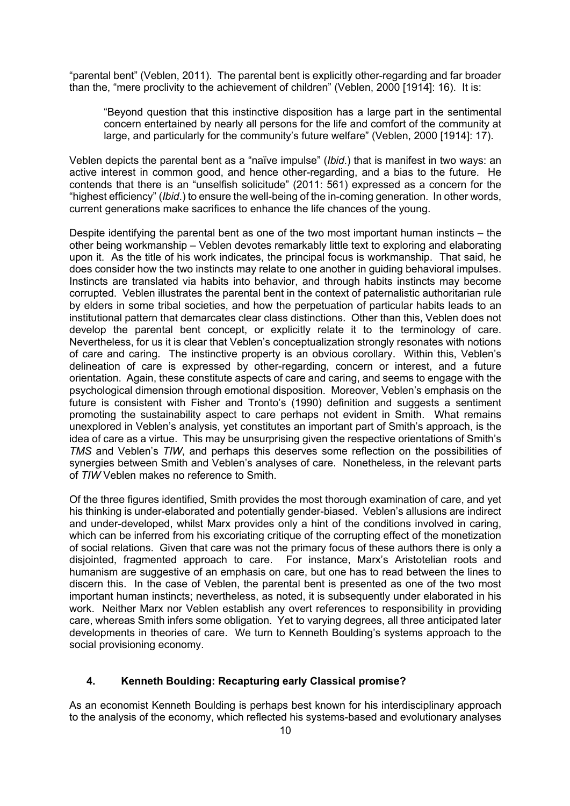"parental bent" (Veblen, 2011). The parental bent is explicitly other-regarding and far broader than the, "mere proclivity to the achievement of children" (Veblen, 2000 [1914]: 16). It is:

"Beyond question that this instinctive disposition has a large part in the sentimental concern entertained by nearly all persons for the life and comfort of the community at large, and particularly for the community's future welfare" (Veblen, 2000 [1914]: 17).

Veblen depicts the parental bent as a "naïve impulse" (*Ibid*.) that is manifest in two ways: an active interest in common good, and hence other-regarding, and a bias to the future. He contends that there is an "unselfish solicitude" (2011: 561) expressed as a concern for the "highest efficiency" (*Ibid*.) to ensure the well-being of the in-coming generation. In other words, current generations make sacrifices to enhance the life chances of the young.

Despite identifying the parental bent as one of the two most important human instincts – the other being workmanship – Veblen devotes remarkably little text to exploring and elaborating upon it. As the title of his work indicates, the principal focus is workmanship. That said, he does consider how the two instincts may relate to one another in guiding behavioral impulses. Instincts are translated via habits into behavior, and through habits instincts may become corrupted. Veblen illustrates the parental bent in the context of paternalistic authoritarian rule by elders in some tribal societies, and how the perpetuation of particular habits leads to an institutional pattern that demarcates clear class distinctions. Other than this, Veblen does not develop the parental bent concept, or explicitly relate it to the terminology of care. Nevertheless, for us it is clear that Veblen's conceptualization strongly resonates with notions of care and caring. The instinctive property is an obvious corollary. Within this, Veblen's delineation of care is expressed by other-regarding, concern or interest, and a future orientation. Again, these constitute aspects of care and caring, and seems to engage with the psychological dimension through emotional disposition. Moreover, Veblen's emphasis on the future is consistent with Fisher and Tronto's (1990) definition and suggests a sentiment promoting the sustainability aspect to care perhaps not evident in Smith. What remains unexplored in Veblen's analysis, yet constitutes an important part of Smith's approach, is the idea of care as a virtue. This may be unsurprising given the respective orientations of Smith's *TMS* and Veblen's *TIW*, and perhaps this deserves some reflection on the possibilities of synergies between Smith and Veblen's analyses of care. Nonetheless, in the relevant parts of *TIW* Veblen makes no reference to Smith.

Of the three figures identified, Smith provides the most thorough examination of care, and yet his thinking is under-elaborated and potentially gender-biased. Veblen's allusions are indirect and under-developed, whilst Marx provides only a hint of the conditions involved in caring, which can be inferred from his excoriating critique of the corrupting effect of the monetization of social relations. Given that care was not the primary focus of these authors there is only a disjointed, fragmented approach to care. For instance, Marx's Aristotelian roots and humanism are suggestive of an emphasis on care, but one has to read between the lines to discern this. In the case of Veblen, the parental bent is presented as one of the two most important human instincts; nevertheless, as noted, it is subsequently under elaborated in his work. Neither Marx nor Veblen establish any overt references to responsibility in providing care, whereas Smith infers some obligation. Yet to varying degrees, all three anticipated later developments in theories of care. We turn to Kenneth Boulding's systems approach to the social provisioning economy.

#### **4. Kenneth Boulding: Recapturing early Classical promise?**

As an economist Kenneth Boulding is perhaps best known for his interdisciplinary approach to the analysis of the economy, which reflected his systems-based and evolutionary analyses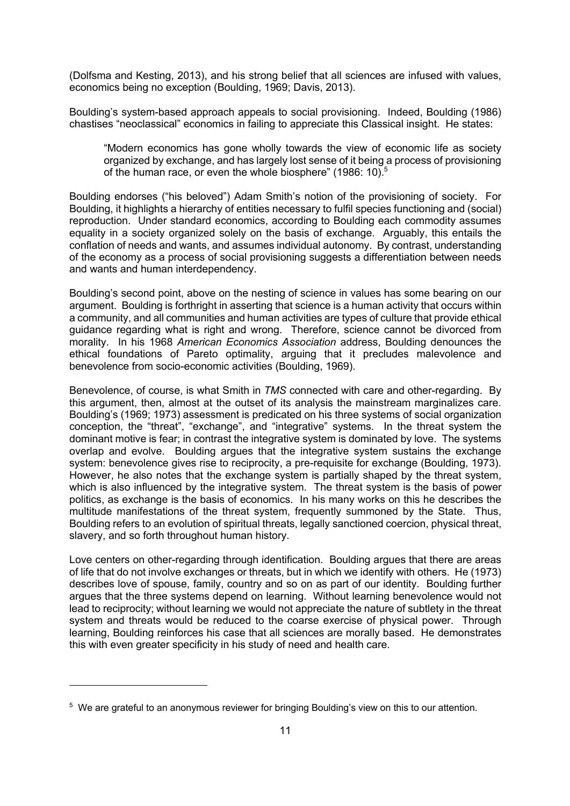(Dolfsma and Kesting, 2013), and his strong belief that all sciences are infused with values, economics being no exception (Boulding, 1969; Davis, 2013).

Boulding's system-based approach appeals to social provisioning. Indeed, Boulding (1986) chastises "neoclassical" economics in failing to appreciate this Classical insight. He states:

"Modern economics has gone wholly towards the view of economic life as society organized by exchange, and has largely lost sense of it being a process of provisioning of the human race, or even the whole biosphere" (1986: 10).<sup>5</sup>

Boulding endorses ("his beloved") Adam Smith's notion of the provisioning of society. For Boulding, it highlights a hierarchy of entities necessary to fulfil species functioning and (social) reproduction. Under standard economics, according to Boulding each commodity assumes equality in a society organized solely on the basis of exchange. Arguably, this entails the conflation of needs and wants, and assumes individual autonomy. By contrast, understanding of the economy as a process of social provisioning suggests a differentiation between needs and wants and human interdependency.

Boulding's second point, above on the nesting of science in values has some bearing on our argument. Boulding is forthright in asserting that science is a human activity that occurs within a community, and all communities and human activities are types of culture that provide ethical guidance regarding what is right and wrong. Therefore, science cannot be divorced from morality. In his 1968 *American Economics Association* address, Boulding denounces the ethical foundations of Pareto optimality, arguing that it precludes malevolence and benevolence from socio-economic activities (Boulding, 1969).

Benevolence, of course, is what Smith in *TMS* connected with care and other-regarding. By this argument, then, almost at the outset of its analysis the mainstream marginalizes care. Boulding's (1969; 1973) assessment is predicated on his three systems of social organization conception, the "threat", "exchange", and "integrative" systems. In the threat system the dominant motive is fear; in contrast the integrative system is dominated by love. The systems overlap and evolve. Boulding argues that the integrative system sustains the exchange system: benevolence gives rise to reciprocity, a pre-requisite for exchange (Boulding, 1973). However, he also notes that the exchange system is partially shaped by the threat system, which is also influenced by the integrative system. The threat system is the basis of power politics, as exchange is the basis of economics. In his many works on this he describes the multitude manifestations of the threat system, frequently summoned by the State. Thus, Boulding refers to an evolution of spiritual threats, legally sanctioned coercion, physical threat, slavery, and so forth throughout human history.

Love centers on other-regarding through identification. Boulding argues that there are areas of life that do not involve exchanges or threats, but in which we identify with others. He (1973) describes love of spouse, family, country and so on as part of our identity. Boulding further argues that the three systems depend on learning. Without learning benevolence would not lead to reciprocity; without learning we would not appreciate the nature of subtlety in the threat system and threats would be reduced to the coarse exercise of physical power. Through learning, Boulding reinforces his case that all sciences are morally based. He demonstrates this with even greater specificity in his study of need and health care.

<sup>5</sup> We are grateful to an anonymous reviewer for bringing Boulding's view on this to our attention.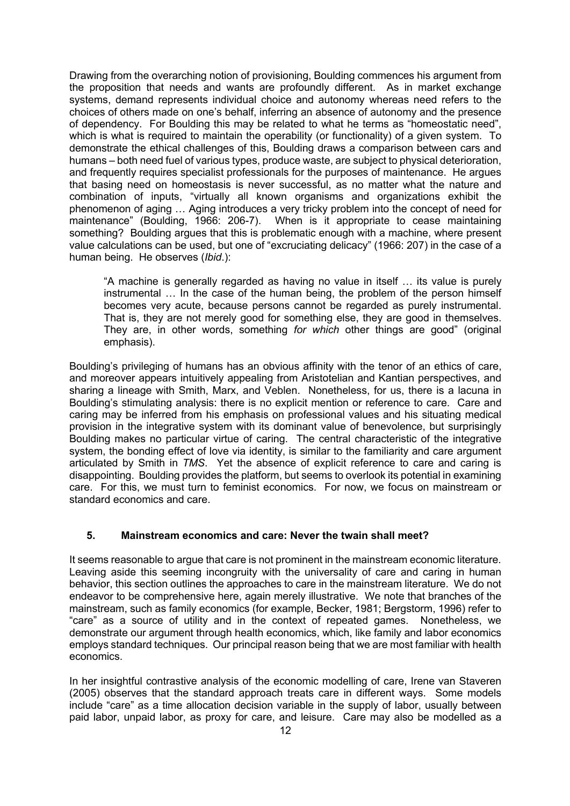Drawing from the overarching notion of provisioning, Boulding commences his argument from the proposition that needs and wants are profoundly different. As in market exchange systems, demand represents individual choice and autonomy whereas need refers to the choices of others made on one's behalf, inferring an absence of autonomy and the presence of dependency. For Boulding this may be related to what he terms as "homeostatic need", which is what is required to maintain the operability (or functionality) of a given system. To demonstrate the ethical challenges of this, Boulding draws a comparison between cars and humans – both need fuel of various types, produce waste, are subject to physical deterioration, and frequently requires specialist professionals for the purposes of maintenance. He argues that basing need on homeostasis is never successful, as no matter what the nature and combination of inputs, "virtually all known organisms and organizations exhibit the phenomenon of aging … Aging introduces a very tricky problem into the concept of need for maintenance" (Boulding, 1966: 206-7). When is it appropriate to cease maintaining something? Boulding argues that this is problematic enough with a machine, where present value calculations can be used, but one of "excruciating delicacy" (1966: 207) in the case of a human being. He observes (*Ibid*.):

"A machine is generally regarded as having no value in itself … its value is purely instrumental … In the case of the human being, the problem of the person himself becomes very acute, because persons cannot be regarded as purely instrumental. That is, they are not merely good for something else, they are good in themselves. They are, in other words, something *for which* other things are good" (original emphasis).

Boulding's privileging of humans has an obvious affinity with the tenor of an ethics of care, and moreover appears intuitively appealing from Aristotelian and Kantian perspectives, and sharing a lineage with Smith, Marx, and Veblen. Nonetheless, for us, there is a lacuna in Boulding's stimulating analysis: there is no explicit mention or reference to care. Care and caring may be inferred from his emphasis on professional values and his situating medical provision in the integrative system with its dominant value of benevolence, but surprisingly Boulding makes no particular virtue of caring. The central characteristic of the integrative system, the bonding effect of love via identity, is similar to the familiarity and care argument articulated by Smith in *TMS*. Yet the absence of explicit reference to care and caring is disappointing. Boulding provides the platform, but seems to overlook its potential in examining care. For this, we must turn to feminist economics. For now, we focus on mainstream or standard economics and care.

#### **5. Mainstream economics and care: Never the twain shall meet?**

It seems reasonable to argue that care is not prominent in the mainstream economic literature. Leaving aside this seeming incongruity with the universality of care and caring in human behavior, this section outlines the approaches to care in the mainstream literature. We do not endeavor to be comprehensive here, again merely illustrative. We note that branches of the mainstream, such as family economics (for example, Becker, 1981; Bergstorm, 1996) refer to "care" as a source of utility and in the context of repeated games. Nonetheless, we demonstrate our argument through health economics, which, like family and labor economics employs standard techniques. Our principal reason being that we are most familiar with health economics.

In her insightful contrastive analysis of the economic modelling of care, Irene van Staveren (2005) observes that the standard approach treats care in different ways. Some models include "care" as a time allocation decision variable in the supply of labor, usually between paid labor, unpaid labor, as proxy for care, and leisure. Care may also be modelled as a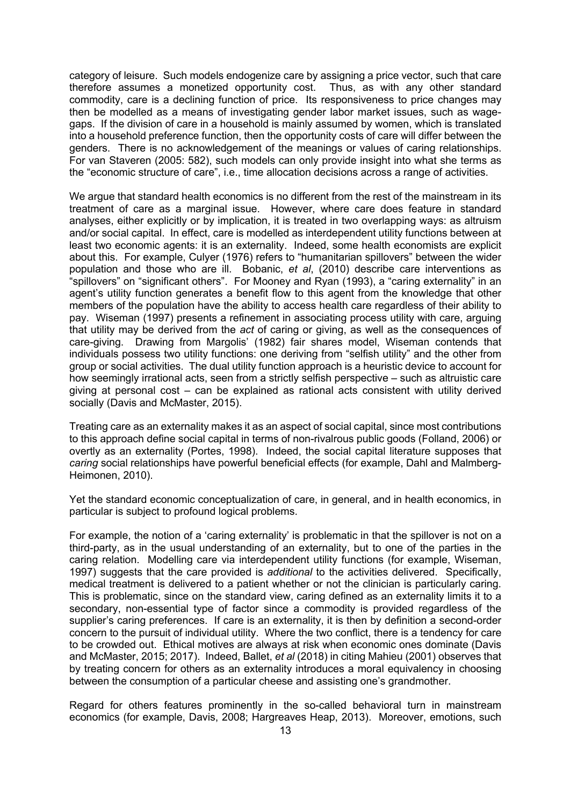category of leisure. Such models endogenize care by assigning a price vector, such that care therefore assumes a monetized opportunity cost. Thus, as with any other standard commodity, care is a declining function of price. Its responsiveness to price changes may then be modelled as a means of investigating gender labor market issues, such as wagegaps. If the division of care in a household is mainly assumed by women, which is translated into a household preference function, then the opportunity costs of care will differ between the genders. There is no acknowledgement of the meanings or values of caring relationships. For van Staveren (2005: 582), such models can only provide insight into what she terms as the "economic structure of care", i.e., time allocation decisions across a range of activities.

We argue that standard health economics is no different from the rest of the mainstream in its treatment of care as a marginal issue. However, where care does feature in standard analyses, either explicitly or by implication, it is treated in two overlapping ways: as altruism and/or social capital. In effect, care is modelled as interdependent utility functions between at least two economic agents: it is an externality. Indeed, some health economists are explicit about this. For example, Culyer (1976) refers to "humanitarian spillovers" between the wider population and those who are ill. Bobanic, *et al*, (2010) describe care interventions as "spillovers" on "significant others". For Mooney and Ryan (1993), a "caring externality" in an agent's utility function generates a benefit flow to this agent from the knowledge that other members of the population have the ability to access health care regardless of their ability to pay. Wiseman (1997) presents a refinement in associating process utility with care, arguing that utility may be derived from the *act* of caring or giving, as well as the consequences of care-giving. Drawing from Margolis' (1982) fair shares model, Wiseman contends that individuals possess two utility functions: one deriving from "selfish utility" and the other from group or social activities. The dual utility function approach is a heuristic device to account for how seemingly irrational acts, seen from a strictly selfish perspective – such as altruistic care giving at personal cost – can be explained as rational acts consistent with utility derived socially (Davis and McMaster, 2015).

Treating care as an externality makes it as an aspect of social capital, since most contributions to this approach define social capital in terms of non-rivalrous public goods (Folland, 2006) or overtly as an externality (Portes, 1998). Indeed, the social capital literature supposes that *caring* social relationships have powerful beneficial effects (for example, Dahl and Malmberg-Heimonen, 2010).

Yet the standard economic conceptualization of care, in general, and in health economics, in particular is subject to profound logical problems.

For example, the notion of a 'caring externality' is problematic in that the spillover is not on a third-party, as in the usual understanding of an externality, but to one of the parties in the caring relation. Modelling care via interdependent utility functions (for example, Wiseman, 1997) suggests that the care provided is *additional* to the activities delivered. Specifically, medical treatment is delivered to a patient whether or not the clinician is particularly caring. This is problematic, since on the standard view, caring defined as an externality limits it to a secondary, non-essential type of factor since a commodity is provided regardless of the supplier's caring preferences. If care is an externality, it is then by definition a second-order concern to the pursuit of individual utility. Where the two conflict, there is a tendency for care to be crowded out. Ethical motives are always at risk when economic ones dominate (Davis and McMaster, 2015; 2017). Indeed, Ballet, *et al* (2018) in citing Mahieu (2001) observes that by treating concern for others as an externality introduces a moral equivalency in choosing between the consumption of a particular cheese and assisting one's grandmother.

Regard for others features prominently in the so-called behavioral turn in mainstream economics (for example, Davis, 2008; Hargreaves Heap, 2013). Moreover, emotions, such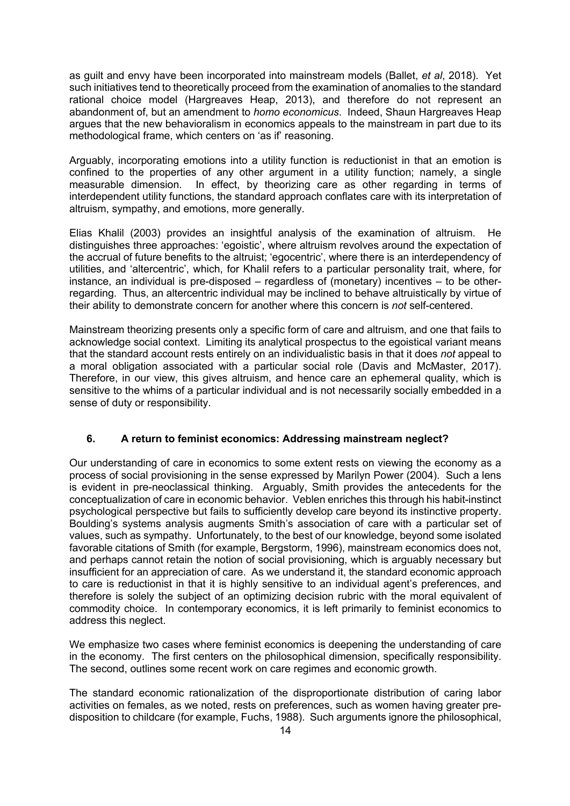as guilt and envy have been incorporated into mainstream models (Ballet, *et al*, 2018). Yet such initiatives tend to theoretically proceed from the examination of anomalies to the standard rational choice model (Hargreaves Heap, 2013), and therefore do not represent an abandonment of, but an amendment to *homo economicus*. Indeed, Shaun Hargreaves Heap argues that the new behavioralism in economics appeals to the mainstream in part due to its methodological frame, which centers on 'as if' reasoning.

Arguably, incorporating emotions into a utility function is reductionist in that an emotion is confined to the properties of any other argument in a utility function; namely, a single measurable dimension. In effect, by theorizing care as other regarding in terms of interdependent utility functions, the standard approach conflates care with its interpretation of altruism, sympathy, and emotions, more generally.

Elias Khalil (2003) provides an insightful analysis of the examination of altruism. He distinguishes three approaches: 'egoistic', where altruism revolves around the expectation of the accrual of future benefits to the altruist; 'egocentric', where there is an interdependency of utilities, and 'altercentric', which, for Khalil refers to a particular personality trait, where, for instance, an individual is pre-disposed – regardless of (monetary) incentives – to be otherregarding. Thus, an altercentric individual may be inclined to behave altruistically by virtue of their ability to demonstrate concern for another where this concern is *not* self-centered.

Mainstream theorizing presents only a specific form of care and altruism, and one that fails to acknowledge social context. Limiting its analytical prospectus to the egoistical variant means that the standard account rests entirely on an individualistic basis in that it does *not* appeal to a moral obligation associated with a particular social role (Davis and McMaster, 2017). Therefore, in our view, this gives altruism, and hence care an ephemeral quality, which is sensitive to the whims of a particular individual and is not necessarily socially embedded in a sense of duty or responsibility.

#### **6. A return to feminist economics: Addressing mainstream neglect?**

Our understanding of care in economics to some extent rests on viewing the economy as a process of social provisioning in the sense expressed by Marilyn Power (2004). Such a lens is evident in pre-neoclassical thinking. Arguably, Smith provides the antecedents for the conceptualization of care in economic behavior. Veblen enriches this through his habit-instinct psychological perspective but fails to sufficiently develop care beyond its instinctive property. Boulding's systems analysis augments Smith's association of care with a particular set of values, such as sympathy. Unfortunately, to the best of our knowledge, beyond some isolated favorable citations of Smith (for example, Bergstorm, 1996), mainstream economics does not, and perhaps cannot retain the notion of social provisioning, which is arguably necessary but insufficient for an appreciation of care. As we understand it, the standard economic approach to care is reductionist in that it is highly sensitive to an individual agent's preferences, and therefore is solely the subject of an optimizing decision rubric with the moral equivalent of commodity choice. In contemporary economics, it is left primarily to feminist economics to address this neglect.

We emphasize two cases where feminist economics is deepening the understanding of care in the economy. The first centers on the philosophical dimension, specifically responsibility. The second, outlines some recent work on care regimes and economic growth.

The standard economic rationalization of the disproportionate distribution of caring labor activities on females, as we noted, rests on preferences, such as women having greater predisposition to childcare (for example, Fuchs, 1988). Such arguments ignore the philosophical,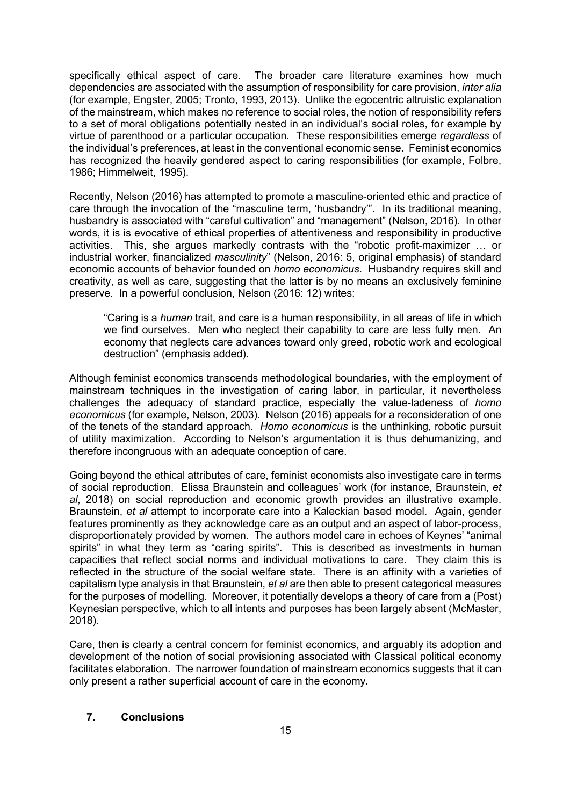specifically ethical aspect of care. The broader care literature examines how much dependencies are associated with the assumption of responsibility for care provision, *inter alia* (for example, Engster, 2005; Tronto, 1993, 2013). Unlike the egocentric altruistic explanation of the mainstream, which makes no reference to social roles, the notion of responsibility refers to a set of moral obligations potentially nested in an individual's social roles, for example by virtue of parenthood or a particular occupation. These responsibilities emerge *regardless* of the individual's preferences, at least in the conventional economic sense. Feminist economics has recognized the heavily gendered aspect to caring responsibilities (for example, Folbre, 1986; Himmelweit, 1995).

Recently, Nelson (2016) has attempted to promote a masculine-oriented ethic and practice of care through the invocation of the "masculine term, 'husbandry'". In its traditional meaning, husbandry is associated with "careful cultivation" and "management" (Nelson, 2016). In other words, it is is evocative of ethical properties of attentiveness and responsibility in productive activities. This, she argues markedly contrasts with the "robotic profit-maximizer … or industrial worker, financialized *masculinity*" (Nelson, 2016: 5, original emphasis) of standard economic accounts of behavior founded on *homo economicus*. Husbandry requires skill and creativity, as well as care, suggesting that the latter is by no means an exclusively feminine preserve. In a powerful conclusion, Nelson (2016: 12) writes:

"Caring is a *human* trait, and care is a human responsibility, in all areas of life in which we find ourselves. Men who neglect their capability to care are less fully men. An economy that neglects care advances toward only greed, robotic work and ecological destruction" (emphasis added).

Although feminist economics transcends methodological boundaries, with the employment of mainstream techniques in the investigation of caring labor, in particular, it nevertheless challenges the adequacy of standard practice, especially the value-ladeness of *homo economicus* (for example, Nelson, 2003). Nelson (2016) appeals for a reconsideration of one of the tenets of the standard approach. *Homo economicus* is the unthinking, robotic pursuit of utility maximization. According to Nelson's argumentation it is thus dehumanizing, and therefore incongruous with an adequate conception of care.

Going beyond the ethical attributes of care, feminist economists also investigate care in terms of social reproduction. Elissa Braunstein and colleagues' work (for instance, Braunstein, *et al*, 2018) on social reproduction and economic growth provides an illustrative example. Braunstein, *et al* attempt to incorporate care into a Kaleckian based model. Again, gender features prominently as they acknowledge care as an output and an aspect of labor-process, disproportionately provided by women. The authors model care in echoes of Keynes' "animal spirits" in what they term as "caring spirits". This is described as investments in human capacities that reflect social norms and individual motivations to care. They claim this is reflected in the structure of the social welfare state. There is an affinity with a varieties of capitalism type analysis in that Braunstein, *et al* are then able to present categorical measures for the purposes of modelling. Moreover, it potentially develops a theory of care from a (Post) Keynesian perspective, which to all intents and purposes has been largely absent (McMaster, 2018).

Care, then is clearly a central concern for feminist economics, and arguably its adoption and development of the notion of social provisioning associated with Classical political economy facilitates elaboration. The narrower foundation of mainstream economics suggests that it can only present a rather superficial account of care in the economy.

#### **7. Conclusions**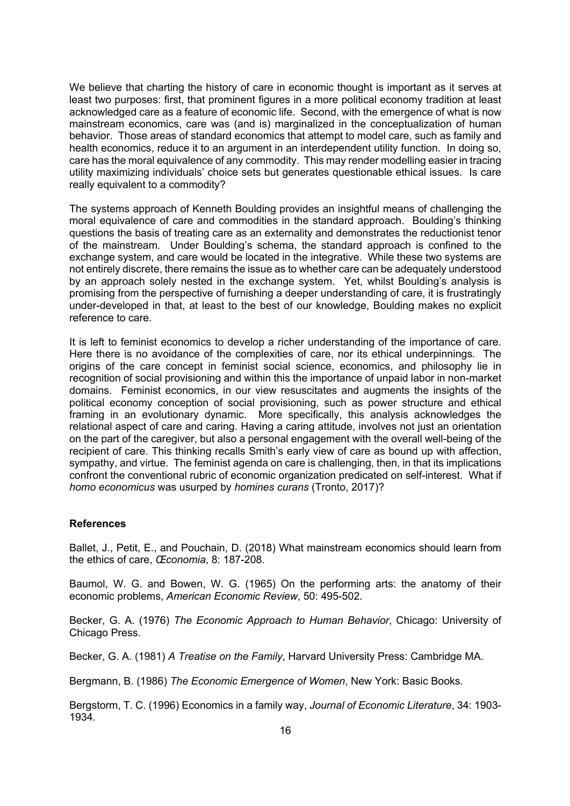We believe that charting the history of care in economic thought is important as it serves at least two purposes: first, that prominent figures in a more political economy tradition at least acknowledged care as a feature of economic life. Second, with the emergence of what is now mainstream economics, care was (and is) marginalized in the conceptualization of human behavior. Those areas of standard economics that attempt to model care, such as family and health economics, reduce it to an argument in an interdependent utility function. In doing so, care has the moral equivalence of any commodity. This may render modelling easier in tracing utility maximizing individuals' choice sets but generates questionable ethical issues. Is care really equivalent to a commodity?

The systems approach of Kenneth Boulding provides an insightful means of challenging the moral equivalence of care and commodities in the standard approach. Boulding's thinking questions the basis of treating care as an externality and demonstrates the reductionist tenor of the mainstream. Under Boulding's schema, the standard approach is confined to the exchange system, and care would be located in the integrative. While these two systems are not entirely discrete, there remains the issue as to whether care can be adequately understood by an approach solely nested in the exchange system. Yet, whilst Boulding's analysis is promising from the perspective of furnishing a deeper understanding of care, it is frustratingly under-developed in that, at least to the best of our knowledge, Boulding makes no explicit reference to care.

It is left to feminist economics to develop a richer understanding of the importance of care. Here there is no avoidance of the complexities of care, nor its ethical underpinnings. The origins of the care concept in feminist social science, economics, and philosophy lie in recognition of social provisioning and within this the importance of unpaid labor in non-market domains. Feminist economics, in our view resuscitates and augments the insights of the political economy conception of social provisioning, such as power structure and ethical framing in an evolutionary dynamic. More specifically, this analysis acknowledges the relational aspect of care and caring. Having a caring attitude, involves not just an orientation on the part of the caregiver, but also a personal engagement with the overall well-being of the recipient of care. This thinking recalls Smith's early view of care as bound up with affection, sympathy, and virtue. The feminist agenda on care is challenging, then, in that its implications confront the conventional rubric of economic organization predicated on self-interest. What if *homo economicus* was usurped by *homines curans* (Tronto, 2017)?

#### **References**

Ballet, J., Petit, E., and Pouchain, D. (2018) What mainstream economics should learn from the ethics of care, *Œconomia*, 8: 187-208.

Baumol, W. G. and Bowen, W. G. (1965) On the performing arts: the anatomy of their economic problems, *American Economic Review*, 50: 495-502.

Becker, G. A. (1976) *The Economic Approach to Human Behavior*, Chicago: University of Chicago Press.

Becker, G. A. (1981) *A Treatise on the Family*, Harvard University Press: Cambridge MA.

Bergmann, B. (1986) *The Economic Emergence of Women*, New York: Basic Books.

Bergstorm, T. C. (1996) Economics in a family way, *Journal of Economic Literature*, 34: 1903- 1934.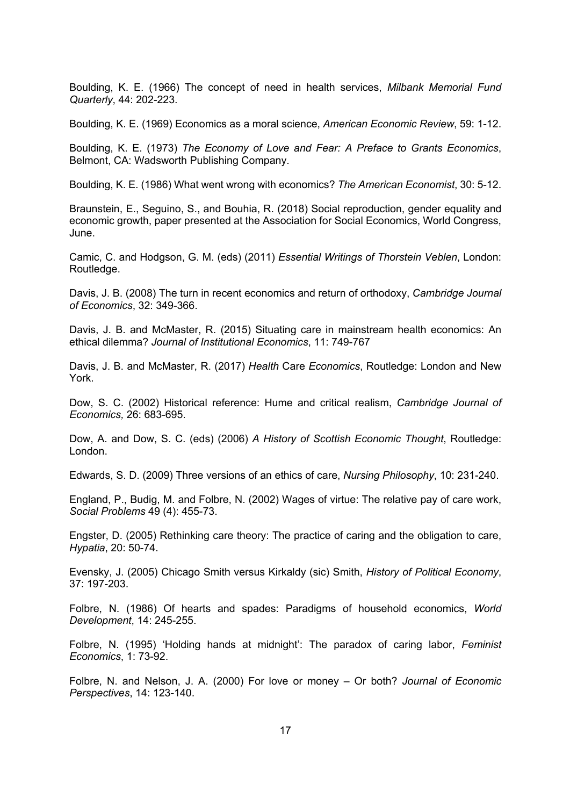Boulding, K. E. (1966) The concept of need in health services, *Milbank Memorial Fund Quarterly*, 44: 202-223.

Boulding, K. E. (1969) Economics as a moral science, *American Economic Review*, 59: 1-12.

Boulding, K. E. (1973) *The Economy of Love and Fear: A Preface to Grants Economics*, Belmont, CA: Wadsworth Publishing Company.

Boulding, K. E. (1986) What went wrong with economics? *The American Economist*, 30: 5-12.

Braunstein, E., Seguino, S., and Bouhia, R. (2018) Social reproduction, gender equality and economic growth, paper presented at the Association for Social Economics, World Congress, June.

Camic, C. and Hodgson, G. M. (eds) (2011) *Essential Writings of Thorstein Veblen*, London: Routledge.

Davis, J. B. (2008) The turn in recent economics and return of orthodoxy, *Cambridge Journal of Economics*, 32: 349-366.

Davis, J. B. and McMaster, R. (2015) Situating care in mainstream health economics: An ethical dilemma? *Journal of Institutional Economics*, 11: 749-767

Davis, J. B. and McMaster, R. (2017) *Health* Care *Economics*, Routledge: London and New York.

Dow, S. C. (2002) Historical reference: Hume and critical realism, *Cambridge Journal of Economics,* 26: 683-695.

Dow, A. and Dow, S. C. (eds) (2006) *A History of Scottish Economic Thought*, Routledge: London.

Edwards, S. D. (2009) Three versions of an ethics of care, *Nursing Philosophy*, 10: 231-240.

England, P., Budig, M. and Folbre, N. (2002) Wages of virtue: The relative pay of care work, *Social Problems* 49 (4): 455-73.

Engster, D. (2005) Rethinking care theory: The practice of caring and the obligation to care, *Hypatia*, 20: 50-74.

Evensky, J. (2005) Chicago Smith versus Kirkaldy (sic) Smith, *History of Political Economy*, 37: 197-203.

Folbre, N. (1986) Of hearts and spades: Paradigms of household economics, *World Development*, 14: 245-255.

Folbre, N. (1995) 'Holding hands at midnight': The paradox of caring labor, *Feminist Economics*, 1: 73-92.

Folbre, N. and Nelson, J. A. (2000) For love or money – Or both? *Journal of Economic Perspectives*, 14: 123-140.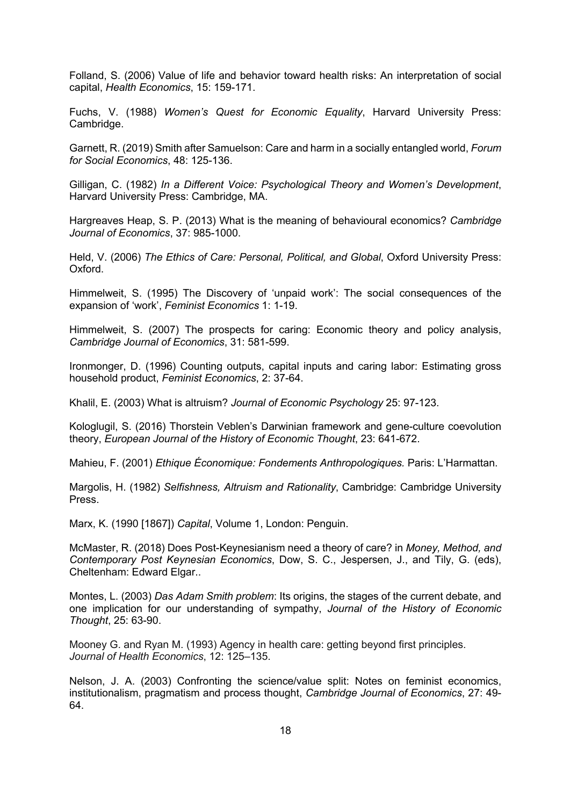Folland, S. (2006) Value of life and behavior toward health risks: An interpretation of social capital, *Health Economics*, 15: 159-171.

Fuchs, V. (1988) *Women's Quest for Economic Equality*, Harvard University Press: Cambridge.

Garnett, R. (2019) Smith after Samuelson: Care and harm in a socially entangled world, *Forum for Social Economics*, 48: 125-136.

Gilligan, C. (1982) *In a Different Voice: Psychological Theory and Women's Development*, Harvard University Press: Cambridge, MA.

Hargreaves Heap, S. P. (2013) What is the meaning of behavioural economics? *Cambridge Journal of Economics*, 37: 985-1000.

Held, V. (2006) *The Ethics of Care: Personal, Political, and Global*, Oxford University Press: Oxford.

Himmelweit, S. (1995) The Discovery of 'unpaid work': The social consequences of the expansion of 'work', *Feminist Economics* 1: 1-19.

Himmelweit, S. (2007) The prospects for caring: Economic theory and policy analysis, *Cambridge Journal of Economics*, 31: 581-599.

Ironmonger, D. (1996) Counting outputs, capital inputs and caring labor: Estimating gross household product, *Feminist Economics*, 2: 37-64.

Khalil, E. (2003) What is altruism? *Journal of Economic Psychology* 25: 97-123.

Kologlugil, S. (2016) Thorstein Veblen's Darwinian framework and gene-culture coevolution theory, *European Journal of the History of Economic Thought*, 23: 641-672.

Mahieu, F. (2001) *Ethique Économique: Fondements Anthropologiques.* Paris: L'Harmattan.

Margolis, H. (1982) *Selfishness, Altruism and Rationality*, Cambridge: Cambridge University Press.

Marx, K. (1990 [1867]) *Capital*, Volume 1, London: Penguin.

McMaster, R. (2018) Does Post-Keynesianism need a theory of care? in *Money, Method, and Contemporary Post Keynesian Economics*, Dow, S. C., Jespersen, J., and Tily, G. (eds), Cheltenham: Edward Elgar..

Montes, L. (2003) *Das Adam Smith problem*: Its origins, the stages of the current debate, and one implication for our understanding of sympathy, *Journal of the History of Economic Thought*, 25: 63-90.

Mooney G. and Ryan M. (1993) Agency in health care: getting beyond first principles. *Journal of Health Economics*, 12: 125–135.

Nelson, J. A. (2003) Confronting the science/value split: Notes on feminist economics, institutionalism, pragmatism and process thought, *Cambridge Journal of Economics*, 27: 49- 64.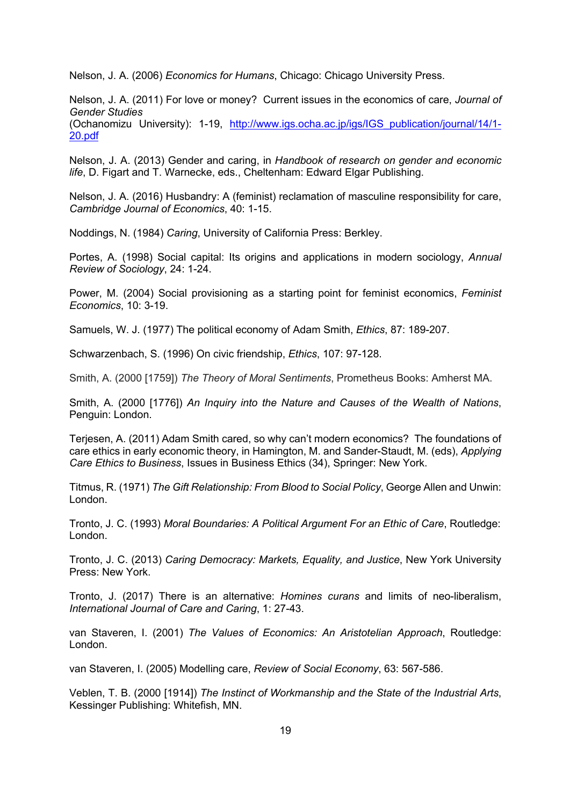Nelson, J. A. (2006) *Economics for Humans*, Chicago: Chicago University Press.

Nelson, J. A. (2011) For love or money? Current issues in the economics of care, *Journal of Gender Studies*

(Ochanomizu University): 1-19, http://www.igs.ocha.ac.jp/igs/IGS\_publication/journal/14/1- 20.pdf

Nelson, J. A. (2013) Gender and caring, in *Handbook of research on gender and economic life*, D. Figart and T. Warnecke, eds., Cheltenham: Edward Elgar Publishing.

Nelson, J. A. (2016) Husbandry: A (feminist) reclamation of masculine responsibility for care, *Cambridge Journal of Economics*, 40: 1-15.

Noddings, N. (1984) *Caring*, University of California Press: Berkley.

Portes, A. (1998) Social capital: Its origins and applications in modern sociology, *Annual Review of Sociology*, 24: 1-24.

Power, M. (2004) Social provisioning as a starting point for feminist economics, *Feminist Economics*, 10: 3-19.

Samuels, W. J. (1977) The political economy of Adam Smith, *Ethics*, 87: 189-207.

Schwarzenbach, S. (1996) On civic friendship, *Ethics*, 107: 97-128.

Smith, A. (2000 [1759]) *The Theory of Moral Sentiments*, Prometheus Books: Amherst MA.

Smith, A. (2000 [1776]) *An Inquiry into the Nature and Causes of the Wealth of Nations*, Penguin: London.

Terjesen, A. (2011) Adam Smith cared, so why can't modern economics? The foundations of care ethics in early economic theory, in Hamington, M. and Sander-Staudt, M. (eds), *Applying Care Ethics to Business*, Issues in Business Ethics (34), Springer: New York.

Titmus, R. (1971) *The Gift Relationship: From Blood to Social Policy*, George Allen and Unwin: London.

Tronto, J. C. (1993) *Moral Boundaries: A Political Argument For an Ethic of Care*, Routledge: London.

Tronto, J. C. (2013) *Caring Democracy: Markets, Equality, and Justice*, New York University Press: New York.

Tronto, J. (2017) There is an alternative: *Homines curans* and limits of neo-liberalism, *International Journal of Care and Caring*, 1: 27-43.

van Staveren, I. (2001) *The Values of Economics: An Aristotelian Approach*, Routledge: London.

van Staveren, I. (2005) Modelling care, *Review of Social Economy*, 63: 567-586.

Veblen, T. B. (2000 [1914]) *The Instinct of Workmanship and the State of the Industrial Arts*, Kessinger Publishing: Whitefish, MN.